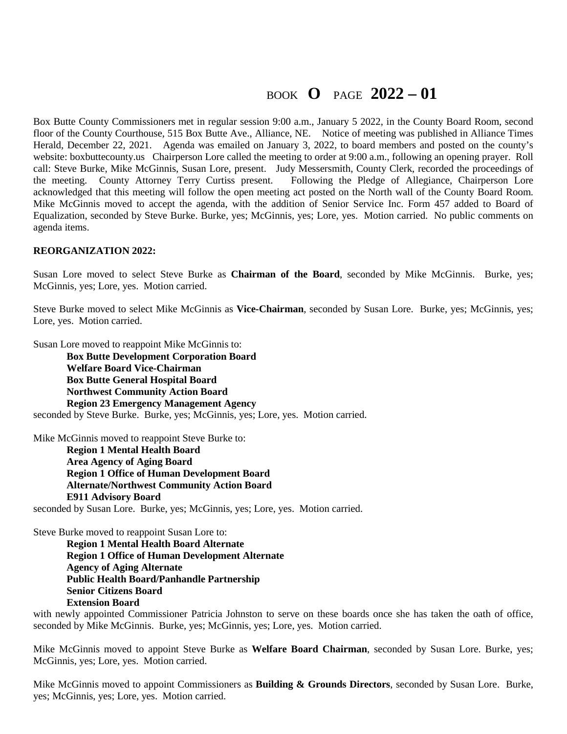## BOOK **O** PAGE **2022 – 01**

Box Butte County Commissioners met in regular session 9:00 a.m., January 5 2022, in the County Board Room, second floor of the County Courthouse, 515 Box Butte Ave., Alliance, NE. Notice of meeting was published in Alliance Times Herald, December 22, 2021. Agenda was emailed on January 3, 2022, to board members and posted on the county's website: boxbuttecounty.us Chairperson Lore called the meeting to order at 9:00 a.m., following an opening prayer. Roll call: Steve Burke, Mike McGinnis, Susan Lore, present. Judy Messersmith, County Clerk, recorded the proceedings of the meeting. County Attorney Terry Curtiss present. Following the Pledge of Allegiance, Chairperson Lore acknowledged that this meeting will follow the open meeting act posted on the North wall of the County Board Room. Mike McGinnis moved to accept the agenda, with the addition of Senior Service Inc. Form 457 added to Board of Equalization, seconded by Steve Burke. Burke, yes; McGinnis, yes; Lore, yes. Motion carried. No public comments on agenda items.

#### **REORGANIZATION 2022:**

Susan Lore moved to select Steve Burke as **Chairman of the Board**, seconded by Mike McGinnis. Burke, yes; McGinnis, yes; Lore, yes. Motion carried.

Steve Burke moved to select Mike McGinnis as **Vice-Chairman**, seconded by Susan Lore. Burke, yes; McGinnis, yes; Lore, yes. Motion carried.

Susan Lore moved to reappoint Mike McGinnis to:

**Box Butte Development Corporation Board Welfare Board Vice-Chairman Box Butte General Hospital Board Northwest Community Action Board Region 23 Emergency Management Agency**  seconded by Steve Burke. Burke, yes; McGinnis, yes; Lore, yes. Motion carried.

Mike McGinnis moved to reappoint Steve Burke to:

**Region 1 Mental Health Board Area Agency of Aging Board Region 1 Office of Human Development Board Alternate/Northwest Community Action Board E911 Advisory Board** 

seconded by Susan Lore. Burke, yes; McGinnis, yes; Lore, yes. Motion carried.

Steve Burke moved to reappoint Susan Lore to:

**Region 1 Mental Health Board Alternate Region 1 Office of Human Development Alternate Agency of Aging Alternate Public Health Board/Panhandle Partnership Senior Citizens Board Extension Board** 

with newly appointed Commissioner Patricia Johnston to serve on these boards once she has taken the oath of office, seconded by Mike McGinnis. Burke, yes; McGinnis, yes; Lore, yes. Motion carried.

Mike McGinnis moved to appoint Steve Burke as **Welfare Board Chairman**, seconded by Susan Lore. Burke, yes; McGinnis, yes; Lore, yes. Motion carried.

Mike McGinnis moved to appoint Commissioners as **Building & Grounds Directors**, seconded by Susan Lore. Burke, yes; McGinnis, yes; Lore, yes. Motion carried.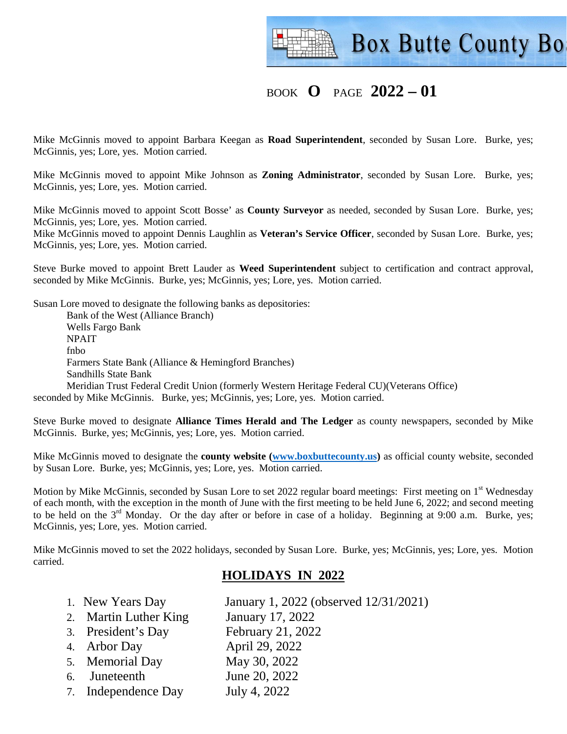

## BOOK **O** PAGE **2022 – 01**

Mike McGinnis moved to appoint Barbara Keegan as **Road Superintendent**, seconded by Susan Lore. Burke, yes; McGinnis, yes; Lore, yes. Motion carried.

Mike McGinnis moved to appoint Mike Johnson as **Zoning Administrator**, seconded by Susan Lore. Burke, yes; McGinnis, yes; Lore, yes. Motion carried.

Mike McGinnis moved to appoint Scott Bosse' as **County Surveyor** as needed, seconded by Susan Lore. Burke, yes; McGinnis, yes; Lore, yes. Motion carried.

Mike McGinnis moved to appoint Dennis Laughlin as **Veteran's Service Officer**, seconded by Susan Lore. Burke, yes; McGinnis, yes; Lore, yes. Motion carried.

Steve Burke moved to appoint Brett Lauder as **Weed Superintendent** subject to certification and contract approval, seconded by Mike McGinnis. Burke, yes; McGinnis, yes; Lore, yes. Motion carried.

Susan Lore moved to designate the following banks as depositories:

 Bank of the West (Alliance Branch) Wells Fargo Bank NPAIT fnbo Farmers State Bank (Alliance & Hemingford Branches) Sandhills State Bank Meridian Trust Federal Credit Union (formerly Western Heritage Federal CU)(Veterans Office) seconded by Mike McGinnis. Burke, yes; McGinnis, yes; Lore, yes. Motion carried.

Steve Burke moved to designate **Alliance Times Herald and The Ledger** as county newspapers, seconded by Mike McGinnis. Burke, yes; McGinnis, yes; Lore, yes. Motion carried.

Mike McGinnis moved to designate the **county website (www.boxbuttecounty.us)** as official county website, seconded by Susan Lore. Burke, yes; McGinnis, yes; Lore, yes. Motion carried.

Motion by Mike McGinnis, seconded by Susan Lore to set 2022 regular board meetings: First meeting on 1<sup>st</sup> Wednesday of each month, with the exception in the month of June with the first meeting to be held June 6, 2022; and second meeting to be held on the 3<sup>rd</sup> Monday. Or the day after or before in case of a holiday. Beginning at 9:00 a.m. Burke, yes; McGinnis, yes; Lore, yes. Motion carried.

Mike McGinnis moved to set the 2022 holidays, seconded by Susan Lore. Burke, yes; McGinnis, yes; Lore, yes. Motion carried.

### **HOLIDAYS IN 2022**

- 1. New Years Day January 1, 2022 (observed 12/31/2021) 2. Martin Luther King January 17, 2022
- 
- 3. President's Day February 21, 2022
- 4. Arbor Day April 29, 2022
- 5. Memorial Day May 30, 2022
- 6. Juneteenth June 20, 2022
- 7. Independence Day July 4, 2022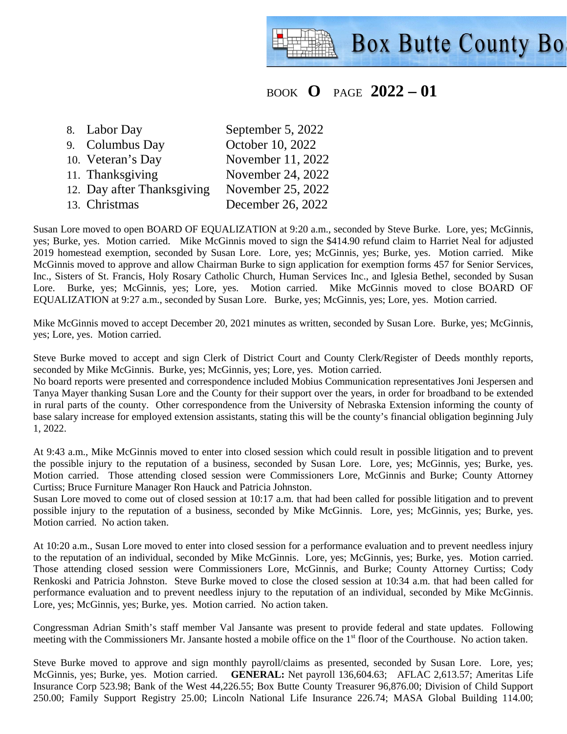# **Box Butte County Bo**

## BOOK **O** PAGE **2022 – 01**

8. Labor Day September 5, 2022 9. Columbus Day October 10, 2022 10. Veteran's Day November 11, 2022 11. Thanksgiving November 24, 2022 12. Day after Thanksgiving November 25, 2022 13. Christmas December 26, 2022

Susan Lore moved to open BOARD OF EQUALIZATION at 9:20 a.m., seconded by Steve Burke. Lore, yes; McGinnis, yes; Burke, yes. Motion carried. Mike McGinnis moved to sign the \$414.90 refund claim to Harriet Neal for adjusted 2019 homestead exemption, seconded by Susan Lore. Lore, yes; McGinnis, yes; Burke, yes. Motion carried. Mike McGinnis moved to approve and allow Chairman Burke to sign application for exemption forms 457 for Senior Services, Inc., Sisters of St. Francis, Holy Rosary Catholic Church, Human Services Inc., and Iglesia Bethel, seconded by Susan Lore. Burke, yes; McGinnis, yes; Lore, yes. Motion carried. Mike McGinnis moved to close BOARD OF EQUALIZATION at 9:27 a.m., seconded by Susan Lore. Burke, yes; McGinnis, yes; Lore, yes. Motion carried.

Mike McGinnis moved to accept December 20, 2021 minutes as written, seconded by Susan Lore. Burke, yes; McGinnis, yes; Lore, yes. Motion carried.

Steve Burke moved to accept and sign Clerk of District Court and County Clerk/Register of Deeds monthly reports, seconded by Mike McGinnis. Burke, yes; McGinnis, yes; Lore, yes. Motion carried.

No board reports were presented and correspondence included Mobius Communication representatives Joni Jespersen and Tanya Mayer thanking Susan Lore and the County for their support over the years, in order for broadband to be extended in rural parts of the county. Other correspondence from the University of Nebraska Extension informing the county of base salary increase for employed extension assistants, stating this will be the county's financial obligation beginning July 1, 2022.

At 9:43 a.m., Mike McGinnis moved to enter into closed session which could result in possible litigation and to prevent the possible injury to the reputation of a business, seconded by Susan Lore. Lore, yes; McGinnis, yes; Burke, yes. Motion carried. Those attending closed session were Commissioners Lore, McGinnis and Burke; County Attorney Curtiss; Bruce Furniture Manager Ron Hauck and Patricia Johnston.

Susan Lore moved to come out of closed session at 10:17 a.m. that had been called for possible litigation and to prevent possible injury to the reputation of a business, seconded by Mike McGinnis. Lore, yes; McGinnis, yes; Burke, yes. Motion carried. No action taken.

At 10:20 a.m., Susan Lore moved to enter into closed session for a performance evaluation and to prevent needless injury to the reputation of an individual, seconded by Mike McGinnis. Lore, yes; McGinnis, yes; Burke, yes. Motion carried. Those attending closed session were Commissioners Lore, McGinnis, and Burke; County Attorney Curtiss; Cody Renkoski and Patricia Johnston. Steve Burke moved to close the closed session at 10:34 a.m. that had been called for performance evaluation and to prevent needless injury to the reputation of an individual, seconded by Mike McGinnis. Lore, yes; McGinnis, yes; Burke, yes. Motion carried. No action taken.

Congressman Adrian Smith's staff member Val Jansante was present to provide federal and state updates. Following meeting with the Commissioners Mr. Jansante hosted a mobile office on the 1<sup>st</sup> floor of the Courthouse. No action taken.

Steve Burke moved to approve and sign monthly payroll/claims as presented, seconded by Susan Lore. Lore, yes; McGinnis, yes; Burke, yes. Motion carried. **GENERAL:** Net payroll 136,604.63; AFLAC 2,613.57; Ameritas Life Insurance Corp 523.98; Bank of the West 44,226.55; Box Butte County Treasurer 96,876.00; Division of Child Support 250.00; Family Support Registry 25.00; Lincoln National Life Insurance 226.74; MASA Global Building 114.00;